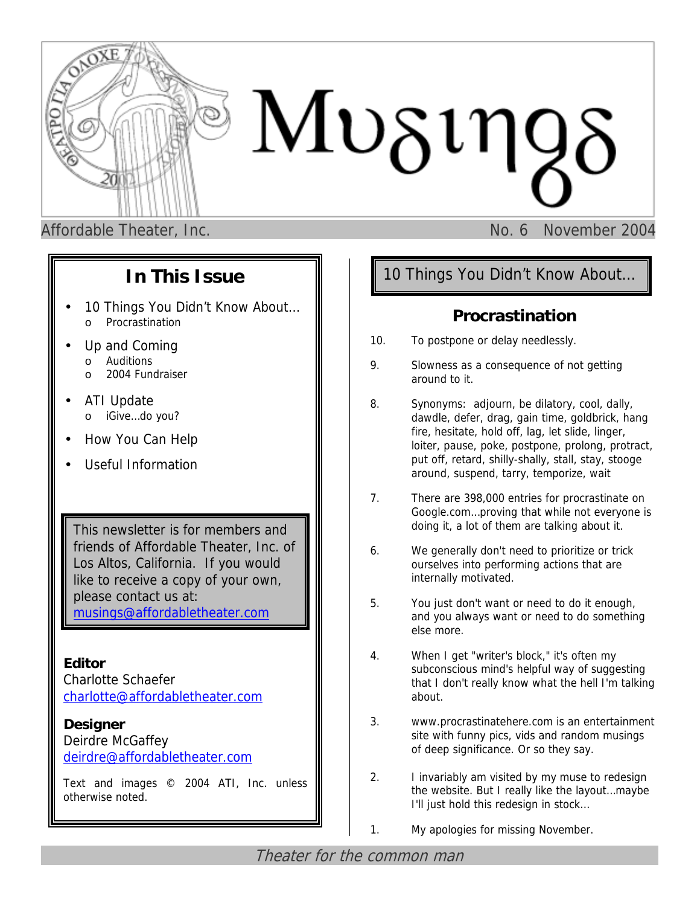

Affordable Theater, Inc. No. 6 November 2004

# **In This Issue**

- 10 Things You Didn't Know About... o Procrastination
- Up and Coming
	- o Auditions
	- o 2004 Fundraiser
- ATI Update o iGive…do you?
- How You Can Help
- Useful Information

This newsletter is for members and friends of Affordable Theater, Inc. of Los Altos, California. If you would like to receive a copy of your own, please contact us at: [musings@affordabletheater.com](mailto:musings@affordabletheater.com)

**Editor**  Charlotte Schaefer [charlotte@affordabletheater.com](mailto:charlotte@affordabletheater.com)

**Designer** Deirdre McGaffey [deirdre@affordabletheater.com](mailto:deirdre@affordabletheater.com)

Text and images © 2004 ATI, Inc. unless otherwise noted.

# 10 Things You Didn't Know About…

## **Procrastination**

- 10. To postpone or delay needlessly.
- 9. Slowness as a consequence of not getting around to it.
- 8. Synonyms: adjourn, be dilatory, cool, dally, dawdle, defer, drag, gain time, goldbrick, hang fire, hesitate, hold off, lag, let slide, linger, loiter, pause, poke, postpone, prolong, protract, put off, retard, shilly-shally, stall, stay, stooge around, suspend, tarry, temporize, wait
- 7. There are 398,000 entries for procrastinate on Google.com…proving that while not everyone is doing it, a lot of them are talking about it.
- 6. We generally don't need to prioritize or trick ourselves into performing actions that are internally motivated.
- 5. You just don't want or need to do it enough, and you always want or need to do something else more.
- 4. When I get "writer's block," it's often my subconscious mind's helpful way of suggesting that I don't really know what the hell I'm talking about.
- 3. www.procrastinatehere.com is an entertainment site with funny pics, vids and random musings of deep significance. Or so they say.
- 2. I invariably am visited by my muse to redesign the website. But I really like the layout…maybe I'll just hold this redesign in stock…
- 1. My apologies for missing November.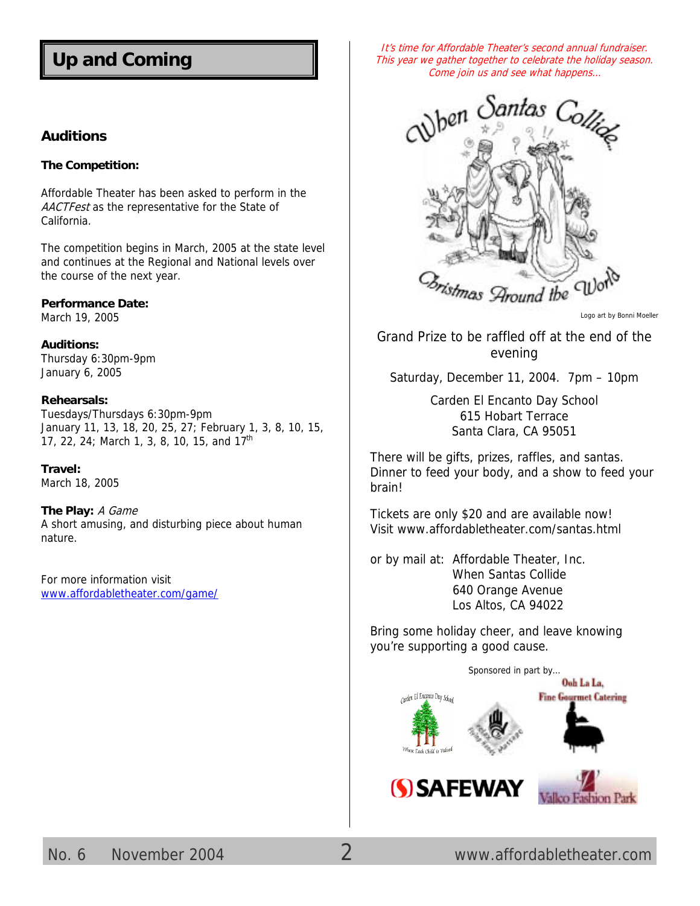# **Up and Coming**

#### **Auditions**

#### **The Competition:**

Affordable Theater has been asked to perform in the AACTFest as the representative for the State of California.

The competition begins in March, 2005 at the state level and continues at the Regional and National levels over the course of the next year.

#### **Performance Date:**

March 19, 2005

**Auditions:**  Thursday 6:30pm-9pm January 6, 2005

#### **Rehearsals:**

Tuesdays/Thursdays 6:30pm-9pm January 11, 13, 18, 20, 25, 27; February 1, 3, 8, 10, 15, 17, 22, 24; March 1, 3, 8, 10, 15, and 17<sup>th</sup>

#### **Travel:**

March 18, 2005

#### **The Play:** A Game

A short amusing, and disturbing piece about human nature.

For more information visit [www.affordabletheater.com/game/](http://www.affordabletheater.com/game/)

It's time for Affordable Theater's second annual fundraiser. This year we gather together to celebrate the holiday season. Come join us and see what happens…



Logo art by Bonni Moeller

Grand Prize to be raffled off at the end of the evening

Saturday, December 11, 2004. 7pm – 10pm

Carden El Encanto Day School 615 Hobart Terrace Santa Clara, CA 95051

There will be gifts, prizes, raffles, and santas. Dinner to feed your body, and a show to feed your brain!

Tickets are only \$20 and are available now! Visit [www.affordabletheater.com/santas.html](http://www.affordabletheater.com/santas.html)

or by mail at: Affordable Theater, Inc. When Santas Collide 640 Orange Avenue Los Altos, CA 94022

Bring some holiday cheer, and leave knowing you're supporting a good cause.